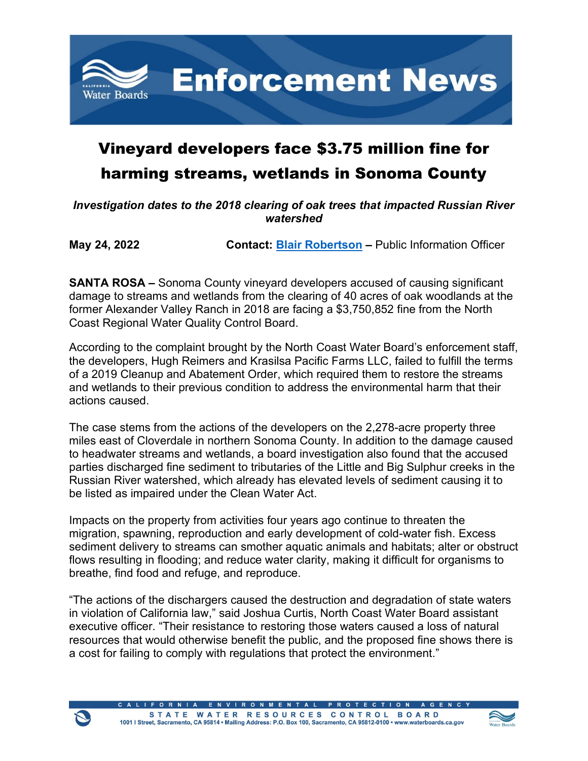

## Vineyard developers face \$3.75 million fine for harming streams, wetlands in Sonoma County

*Investigation dates to the 2018 clearing of oak trees that impacted Russian River watershed*

**May 24, 2022 Contact: [Blair Robertson](mailto:Blair.Robertson@Waterboards.ca.gov) –** Public Information Officer

**SANTA ROSA –** Sonoma County vineyard developers accused of causing significant damage to streams and wetlands from the clearing of 40 acres of oak woodlands at the former Alexander Valley Ranch in 2018 are facing a \$3,750,852 fine from the North Coast Regional Water Quality Control Board.

According to the complaint brought by the North Coast Water Board's enforcement staff, the developers, Hugh Reimers and Krasilsa Pacific Farms LLC, failed to fulfill the terms of a 2019 Cleanup and Abatement Order, which required them to restore the streams and wetlands to their previous condition to address the environmental harm that their actions caused.

The case stems from the actions of the developers on the 2,278-acre property three miles east of Cloverdale in northern Sonoma County. In addition to the damage caused to headwater streams and wetlands, a board investigation also found that the accused parties discharged fine sediment to tributaries of the Little and Big Sulphur creeks in the Russian River watershed, which already has elevated levels of sediment causing it to be listed as impaired under the Clean Water Act.

Impacts on the property from activities four years ago continue to threaten the migration, spawning, reproduction and early development of cold-water fish. Excess sediment delivery to streams can smother aquatic animals and habitats; alter or obstruct flows resulting in flooding; and reduce water clarity, making it difficult for organisms to breathe, find food and refuge, and reproduce.

"The actions of the dischargers caused the destruction and degradation of state waters in violation of California law," said Joshua Curtis, North Coast Water Board assistant executive officer. "Their resistance to restoring those waters caused a loss of natural resources that would otherwise benefit the public, and the proposed fine shows there is a cost for failing to comply with regulations that protect the environment."